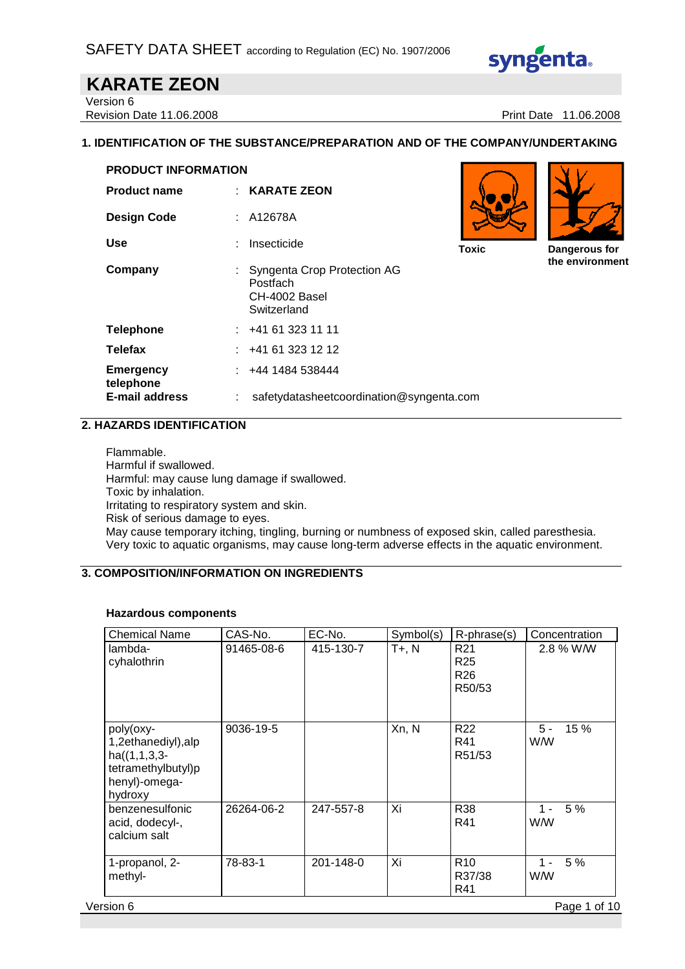

### **KARATE ZEON**  Version 6

Revision Date 11.06.2008 **Print Date 11.06.2008** Print Date 11.06.2008

### **1. IDENTIFICATION OF THE SUBSTANCE/PREPARATION AND OF THE COMPANY/UNDERTAKING**

| <b>PRODUCT INFORMATION</b>    |                                                                         |              |                                  |
|-------------------------------|-------------------------------------------------------------------------|--------------|----------------------------------|
| <b>Product name</b>           | $:$ KARATE ZEON                                                         |              |                                  |
| <b>Design Code</b>            | : A12678A                                                               |              |                                  |
| <b>Use</b>                    | Insecticide<br>÷                                                        | <b>Toxic</b> | Dangerous for<br>the environment |
| Company                       | Syngenta Crop Protection AG<br>Postfach<br>CH-4002 Basel<br>Switzerland |              |                                  |
| <b>Telephone</b>              | $\div$ +41 61 323 11 11                                                 |              |                                  |
| <b>Telefax</b>                | : 441613231212                                                          |              |                                  |
| <b>Emergency</b><br>telephone | $\div$ +44 1484 538444                                                  |              |                                  |
| <b>E-mail address</b>         | safetydatasheetcoordination@syngenta.com<br>÷                           |              |                                  |

### **2. HAZARDS IDENTIFICATION**

Flammable. Harmful if swallowed. Harmful: may cause lung damage if swallowed. Toxic by inhalation. Irritating to respiratory system and skin. Risk of serious damage to eyes. May cause temporary itching, tingling, burning or numbness of exposed skin, called paresthesia. Very toxic to aquatic organisms, may cause long-term adverse effects in the aquatic environment.

# **3. COMPOSITION/INFORMATION ON INGREDIENTS**

#### **Hazardous components**

| 91465-08-6<br>9036-19-5 | 415-130-7 | $T + R N$<br>Xn, N | R <sub>21</sub><br>R <sub>25</sub><br>R <sub>26</sub><br>R50/53<br>R <sub>22</sub> | 2.8 % W/W<br>$5 -$<br>15 % |
|-------------------------|-----------|--------------------|------------------------------------------------------------------------------------|----------------------------|
|                         |           |                    |                                                                                    |                            |
|                         |           |                    | R41<br>R51/53                                                                      | <b>WW</b>                  |
| 26264-06-2              | 247-557-8 | Xi                 | <b>R38</b><br>R41                                                                  | 5%<br>$1 -$<br>W/W         |
| 78-83-1                 | 201-148-0 | Xi                 | R <sub>10</sub><br>R37/38<br>R41                                                   | 5 %<br>$1 -$<br>W/W        |
|                         |           |                    |                                                                                    |                            |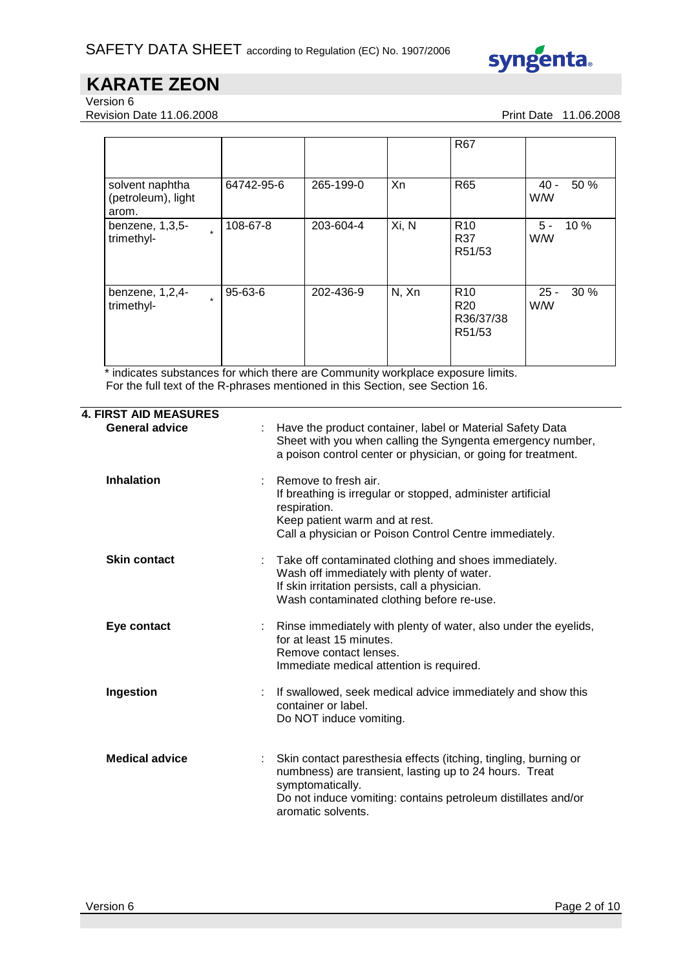

Version 6

Revision Date 11.06.2008 **Print Date 11.06.2008** Print Date 11.06.2008

|                                                          |               |           |       | <b>R67</b>                                                |                              |
|----------------------------------------------------------|---------------|-----------|-------|-----------------------------------------------------------|------------------------------|
| solvent naphtha<br>(petroleum), light<br>arom.           | 64742-95-6    | 265-199-0 | Xn    | <b>R65</b>                                                | 50 %<br>$40 -$<br><b>W/W</b> |
| benzene, $1,3,5$ -<br>$\ddot{\phantom{0}}$<br>trimethyl- | 108-67-8      | 203-604-4 | Xi, N | R <sub>10</sub><br>R37<br>R51/53                          | 5 -<br>10%<br><b>W/W</b>     |
| benzene, 1,2,4-<br>$\ddot{\phantom{0}}$<br>trimethyl-    | $95 - 63 - 6$ | 202-436-9 | N, Xn | R <sub>10</sub><br>R <sub>20</sub><br>R36/37/38<br>R51/53 | 30%<br>$25 -$<br><b>W/W</b>  |

\* indicates substances for which there are Community workplace exposure limits. For the full text of the R-phrases mentioned in this Section, see Section 16.

| <b>4. FIRST AID MEASURES</b> |                                                                                                                                                                                                                                      |
|------------------------------|--------------------------------------------------------------------------------------------------------------------------------------------------------------------------------------------------------------------------------------|
| <b>General advice</b>        | Have the product container, label or Material Safety Data<br>Sheet with you when calling the Syngenta emergency number,<br>a poison control center or physician, or going for treatment.                                             |
| <b>Inhalation</b>            | Remove to fresh air.<br>If breathing is irregular or stopped, administer artificial<br>respiration.<br>Keep patient warm and at rest.<br>Call a physician or Poison Control Centre immediately.                                      |
| <b>Skin contact</b>          | Take off contaminated clothing and shoes immediately.<br>÷.<br>Wash off immediately with plenty of water.<br>If skin irritation persists, call a physician.<br>Wash contaminated clothing before re-use.                             |
| Eye contact                  | Rinse immediately with plenty of water, also under the eyelids,<br>÷.<br>for at least 15 minutes.<br>Remove contact lenses.<br>Immediate medical attention is required.                                                              |
| Ingestion                    | If swallowed, seek medical advice immediately and show this<br>÷.<br>container or label.<br>Do NOT induce vomiting.                                                                                                                  |
| <b>Medical advice</b>        | Skin contact paresthesia effects (itching, tingling, burning or<br>numbness) are transient, lasting up to 24 hours. Treat<br>symptomatically.<br>Do not induce vomiting: contains petroleum distillates and/or<br>aromatic solvents. |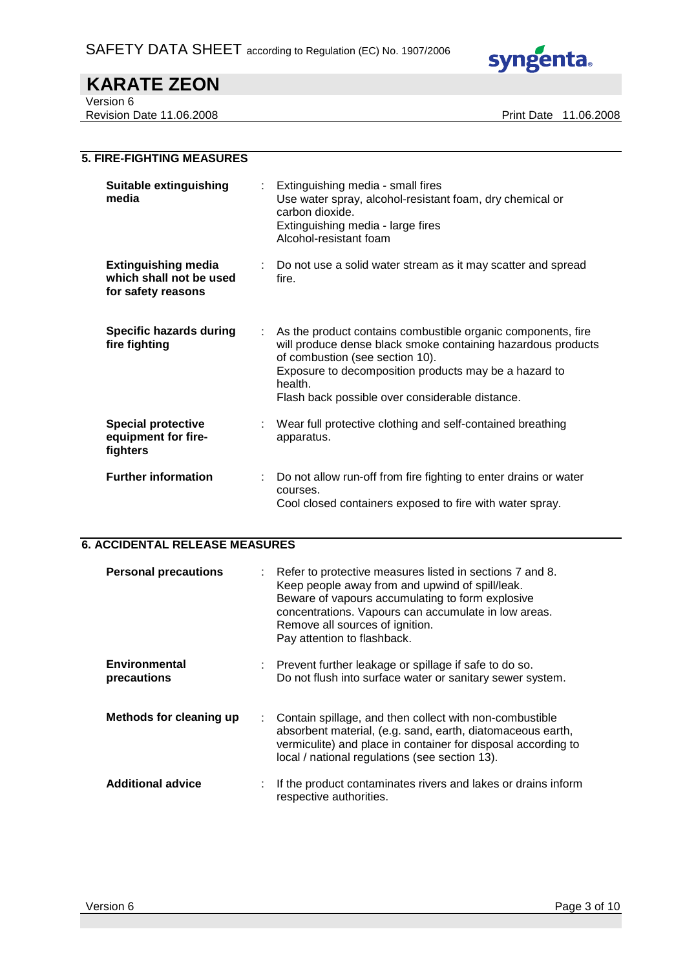

Version 6

Revision Date 11.06.2008 **Print Date 11.06.2008** 

| <b>5. FIRE-FIGHTING MEASURES</b>                                            |    |                                                                                                                                                                                                                                                                                        |
|-----------------------------------------------------------------------------|----|----------------------------------------------------------------------------------------------------------------------------------------------------------------------------------------------------------------------------------------------------------------------------------------|
| <b>Suitable extinguishing</b><br>media                                      |    | Extinguishing media - small fires<br>Use water spray, alcohol-resistant foam, dry chemical or<br>carbon dioxide.<br>Extinguishing media - large fires<br>Alcohol-resistant foam                                                                                                        |
| <b>Extinguishing media</b><br>which shall not be used<br>for safety reasons | ÷. | Do not use a solid water stream as it may scatter and spread<br>fire.                                                                                                                                                                                                                  |
| <b>Specific hazards during</b><br>fire fighting                             |    | As the product contains combustible organic components, fire<br>will produce dense black smoke containing hazardous products<br>of combustion (see section 10).<br>Exposure to decomposition products may be a hazard to<br>health.<br>Flash back possible over considerable distance. |
| <b>Special protective</b><br>equipment for fire-<br>fighters                |    | Wear full protective clothing and self-contained breathing<br>apparatus.                                                                                                                                                                                                               |
| <b>Further information</b>                                                  |    | Do not allow run-off from fire fighting to enter drains or water<br>courses.<br>Cool closed containers exposed to fire with water spray.                                                                                                                                               |

### **6. ACCIDENTAL RELEASE MEASURES**

| <b>Personal precautions</b>         | Refer to protective measures listed in sections 7 and 8.<br>Keep people away from and upwind of spill/leak.<br>Beware of vapours accumulating to form explosive<br>concentrations. Vapours can accumulate in low areas.<br>Remove all sources of ignition.<br>Pay attention to flashback. |
|-------------------------------------|-------------------------------------------------------------------------------------------------------------------------------------------------------------------------------------------------------------------------------------------------------------------------------------------|
| <b>Environmental</b><br>precautions | Prevent further leakage or spillage if safe to do so.<br>Do not flush into surface water or sanitary sewer system.                                                                                                                                                                        |
| Methods for cleaning up             | Contain spillage, and then collect with non-combustible<br>absorbent material, (e.g. sand, earth, diatomaceous earth,<br>vermiculite) and place in container for disposal according to<br>local / national regulations (see section 13).                                                  |
| <b>Additional advice</b>            | If the product contaminates rivers and lakes or drains inform<br>respective authorities.                                                                                                                                                                                                  |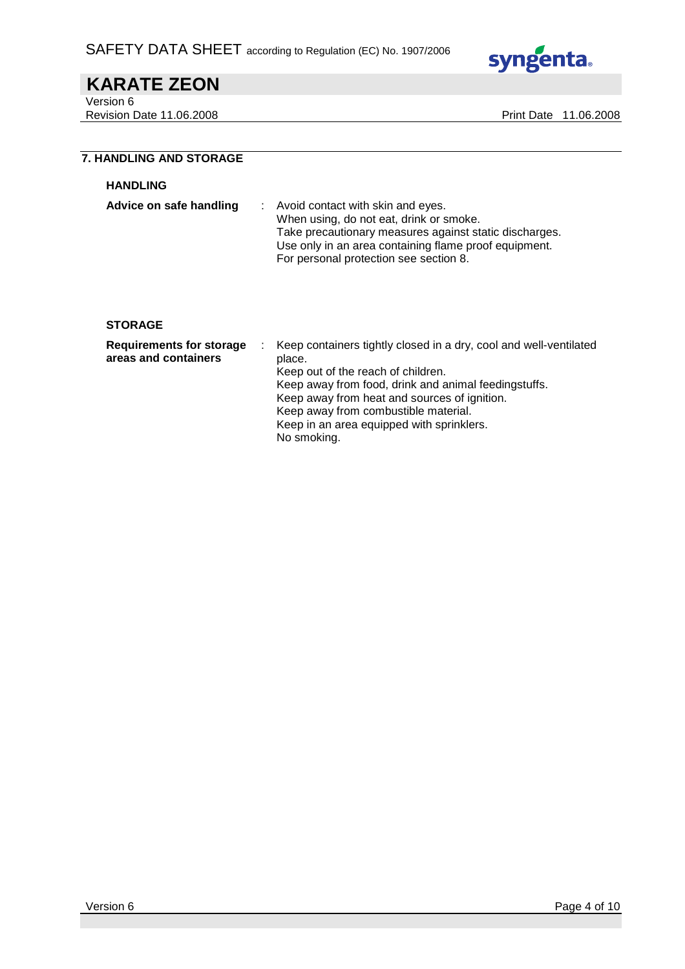

Version 6

Revision Date 11.06.2008 **Print Date 11.06.2008** 

## **7. HANDLING AND STORAGE**

#### **HANDLING**

| Advice on safe handling | : Avoid contact with skin and eyes.                    |
|-------------------------|--------------------------------------------------------|
|                         | When using, do not eat, drink or smoke.                |
|                         | Take precautionary measures against static discharges. |
|                         | Use only in an area containing flame proof equipment.  |
|                         | For personal protection see section 8.                 |

#### **STORAGE**

| <b>Requirements for storage</b><br>areas and containers | Keep containers tightly closed in a dry, cool and well-ventilated<br>place.<br>Keep out of the reach of children.<br>Keep away from food, drink and animal feedingstuffs.<br>Keep away from heat and sources of ignition.<br>Keep away from combustible material.<br>Keep in an area equipped with sprinklers. |
|---------------------------------------------------------|----------------------------------------------------------------------------------------------------------------------------------------------------------------------------------------------------------------------------------------------------------------------------------------------------------------|
|                                                         | No smoking.                                                                                                                                                                                                                                                                                                    |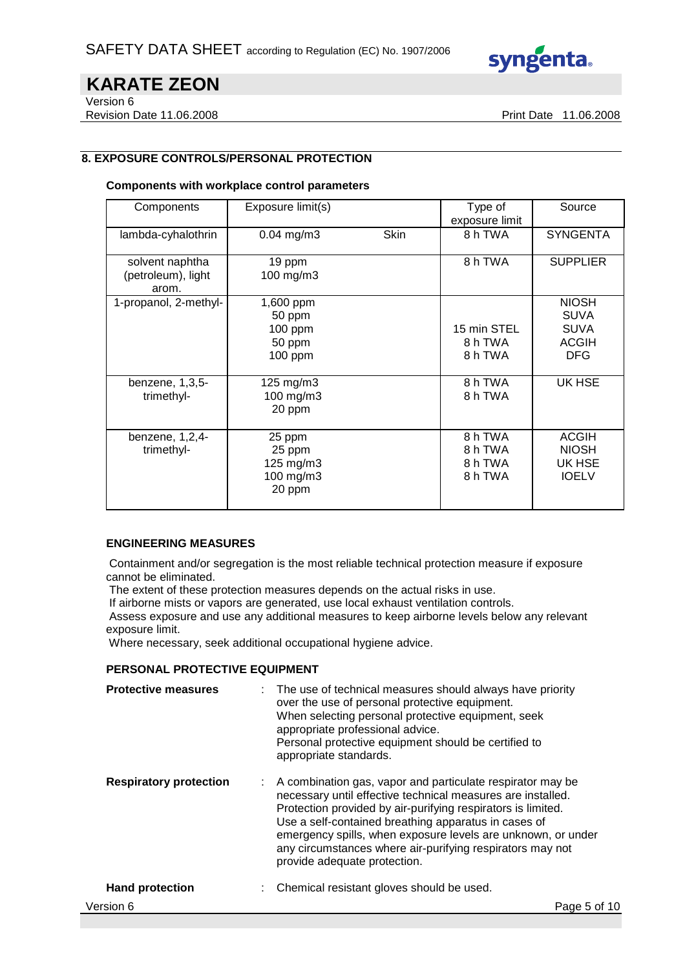

Version 6

Revision Date 11.06.2008 **Print Date 11.06.2008** Print Date 11.06.2008

# **8. EXPOSURE CONTROLS/PERSONAL PROTECTION**

#### **Components with workplace control parameters**

| Components                                     | Exposure limit(s)                                    |      | Type of<br>exposure limit                | Source                                                                   |
|------------------------------------------------|------------------------------------------------------|------|------------------------------------------|--------------------------------------------------------------------------|
| lambda-cyhalothrin                             | $0.04$ mg/m3                                         | Skin | 8 h TWA                                  | <b>SYNGENTA</b>                                                          |
| solvent naphtha<br>(petroleum), light<br>arom. | 19 ppm<br>100 mg/m3                                  |      | 8 h TWA                                  | <b>SUPPLIER</b>                                                          |
| 1-propanol, 2-methyl-                          | 1,600 ppm<br>50 ppm<br>100 ppm<br>50 ppm<br>100 ppm  |      | 15 min STEL<br>8 h TWA<br>8 h TWA        | <b>NIOSH</b><br><b>SUVA</b><br><b>SUVA</b><br><b>ACGIH</b><br><b>DFG</b> |
| benzene, 1,3,5-<br>trimethyl-                  | 125 mg/m3<br>100 mg/m3<br>20 ppm                     |      | 8 h TWA<br>8 h TWA                       | UK HSE                                                                   |
| benzene, 1,2,4-<br>trimethyl-                  | 25 ppm<br>25 ppm<br>125 mg/m3<br>100 mg/m3<br>20 ppm |      | 8 h TWA<br>8 h TWA<br>8 h TWA<br>8 h TWA | <b>ACGIH</b><br><b>NIOSH</b><br>UK HSE<br><b>IOELV</b>                   |

#### **ENGINEERING MEASURES**

 Containment and/or segregation is the most reliable technical protection measure if exposure cannot be eliminated.

The extent of these protection measures depends on the actual risks in use.

If airborne mists or vapors are generated, use local exhaust ventilation controls.

 Assess exposure and use any additional measures to keep airborne levels below any relevant exposure limit.

Where necessary, seek additional occupational hygiene advice.

#### **PERSONAL PROTECTIVE EQUIPMENT**

| <b>Protective measures</b>    |   | : The use of technical measures should always have priority<br>over the use of personal protective equipment.<br>When selecting personal protective equipment, seek<br>appropriate professional advice.<br>Personal protective equipment should be certified to<br>appropriate standards.                                                                                                                      |
|-------------------------------|---|----------------------------------------------------------------------------------------------------------------------------------------------------------------------------------------------------------------------------------------------------------------------------------------------------------------------------------------------------------------------------------------------------------------|
| <b>Respiratory protection</b> | ÷ | A combination gas, vapor and particulate respirator may be<br>necessary until effective technical measures are installed.<br>Protection provided by air-purifying respirators is limited.<br>Use a self-contained breathing apparatus in cases of<br>emergency spills, when exposure levels are unknown, or under<br>any circumstances where air-purifying respirators may not<br>provide adequate protection. |
| <b>Hand protection</b>        |   | Chemical resistant gloves should be used.                                                                                                                                                                                                                                                                                                                                                                      |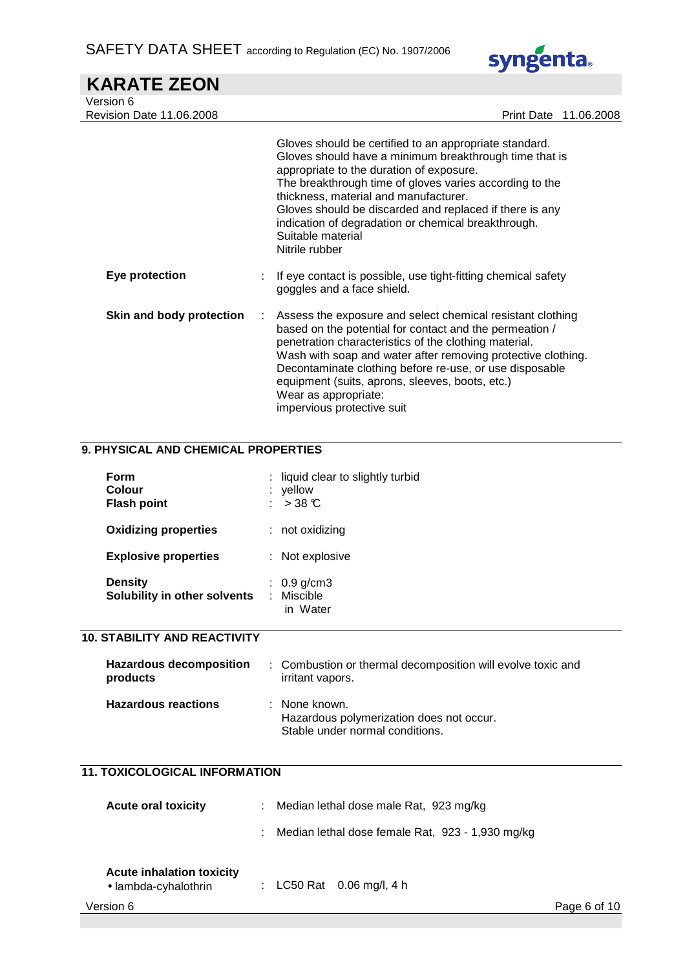

| Version 6<br><b>Revision Date 11.06.2008</b> | Print Date 11.06.2008                                                                                                                                                                                                                                                                                                                                                              |
|----------------------------------------------|------------------------------------------------------------------------------------------------------------------------------------------------------------------------------------------------------------------------------------------------------------------------------------------------------------------------------------------------------------------------------------|
|                                              | Gloves should be certified to an appropriate standard.<br>Gloves should have a minimum breakthrough time that is<br>appropriate to the duration of exposure.<br>The breakthrough time of gloves varies according to the<br>thickness, material and manufacturer.<br>Gloves should be discarded and replaced if there is any<br>indication of degradation or chemical breakthrough. |

|                          |    | Nitrile rubber                                                                                                                                                                                                                                                                                                                                                                                                     |
|--------------------------|----|--------------------------------------------------------------------------------------------------------------------------------------------------------------------------------------------------------------------------------------------------------------------------------------------------------------------------------------------------------------------------------------------------------------------|
| Eye protection           |    | If eye contact is possible, use tight-fitting chemical safety<br>goggles and a face shield.                                                                                                                                                                                                                                                                                                                        |
| Skin and body protection | ÷. | Assess the exposure and select chemical resistant clothing<br>based on the potential for contact and the permeation /<br>penetration characteristics of the clothing material.<br>Wash with soap and water after removing protective clothing.<br>Decontaminate clothing before re-use, or use disposable<br>equipment (suits, aprons, sleeves, boots, etc.)<br>Wear as appropriate:<br>impervious protective suit |

Suitable material

# **9. PHYSICAL AND CHEMICAL PROPERTIES**

| Form<br><b>Colour</b><br><b>Flash point</b>    |   | : liquid clear to slightly turbid<br>$:$ yellow<br>$>$ 38 °C |
|------------------------------------------------|---|--------------------------------------------------------------|
| <b>Oxidizing properties</b>                    |   | $:$ not oxidizing                                            |
| <b>Explosive properties</b>                    |   | : Not explosive                                              |
| <b>Density</b><br>Solubility in other solvents | ÷ | : $0.9$ g/cm3<br>Miscible<br>in Water                        |

# **10. STABILITY AND REACTIVITY**

| <b>Hazardous decomposition</b><br>products | : Combustion or thermal decomposition will evolve toxic and<br>irritant vapors.              |
|--------------------------------------------|----------------------------------------------------------------------------------------------|
| <b>Hazardous reactions</b>                 | : None known.<br>Hazardous polymerization does not occur.<br>Stable under normal conditions. |

### **11. TOXICOLOGICAL INFORMATION**

| <b>Acute oral toxicity</b>                               |  | Median lethal dose male Rat, 923 mg/kg<br>÷.     |              |
|----------------------------------------------------------|--|--------------------------------------------------|--------------|
|                                                          |  | Median lethal dose female Rat, 923 - 1,930 mg/kg |              |
| <b>Acute inhalation toxicity</b><br>• lambda-cyhalothrin |  | : LC50 Rat 0.06 mg/l, 4 h                        |              |
| Version 6                                                |  |                                                  | Page 6 of 10 |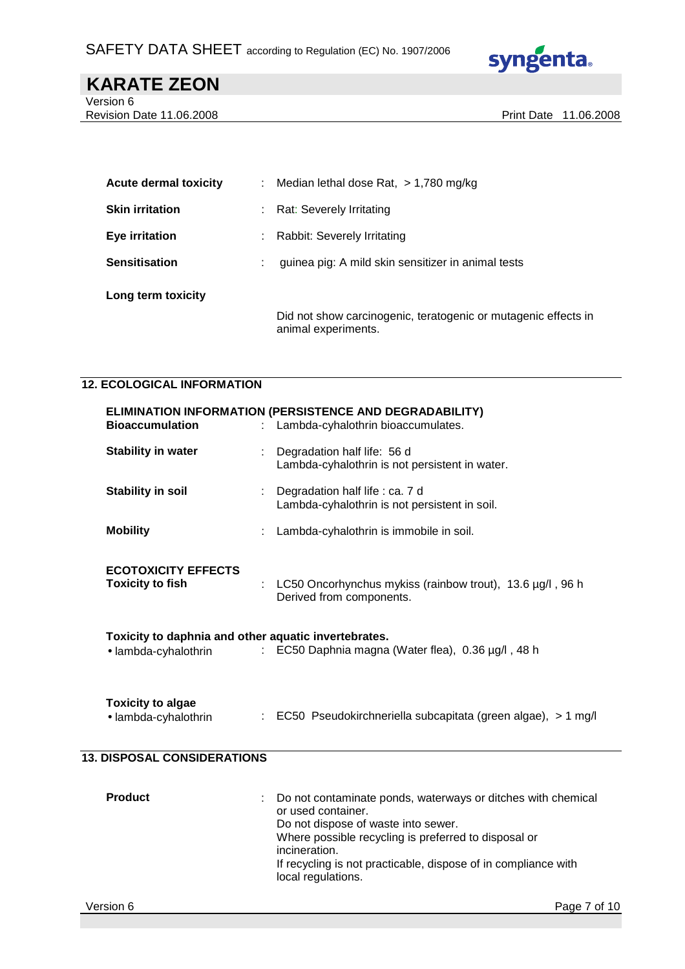

# **KARATE ZEON**  Version 6

Revision Date 11.06.2008 **Print Date 11.06.2008** Print Date 11.06.2008

| <b>Acute dermal toxicity</b> | ÷ | Median lethal dose Rat, $> 1,780$ mg/kg                                               |
|------------------------------|---|---------------------------------------------------------------------------------------|
| <b>Skin irritation</b>       |   | Rat: Severely Irritating                                                              |
| Eye irritation               |   | Rabbit: Severely Irritating                                                           |
| <b>Sensitisation</b>         |   | guinea pig: A mild skin sensitizer in animal tests                                    |
| Long term toxicity           |   |                                                                                       |
|                              |   | Did not show carcinogenic, teratogenic or mutagenic effects in<br>animal experiments. |

### **12. ECOLOGICAL INFORMATION**

| <b>Bioaccumulation</b>                                                       |    | ELIMINATION INFORMATION (PERSISTENCE AND DEGRADABILITY)<br>: Lambda-cyhalothrin bioaccumulates.                                                                                                    |
|------------------------------------------------------------------------------|----|----------------------------------------------------------------------------------------------------------------------------------------------------------------------------------------------------|
| <b>Stability in water</b>                                                    |    | Degradation half life: 56 d<br>Lambda-cyhalothrin is not persistent in water.                                                                                                                      |
| <b>Stability in soil</b>                                                     |    | : Degradation half life : ca. 7 d<br>Lambda-cyhalothrin is not persistent in soil.                                                                                                                 |
| <b>Mobility</b>                                                              |    | Lambda-cyhalothrin is immobile in soil.                                                                                                                                                            |
| <b>ECOTOXICITY EFFECTS</b><br><b>Toxicity to fish</b>                        | ÷. | LC50 Oncorhynchus mykiss (rainbow trout), 13.6 µg/l, 96 h<br>Derived from components.                                                                                                              |
| Toxicity to daphnia and other aquatic invertebrates.<br>• lambda-cyhalothrin |    | : EC50 Daphnia magna (Water flea), 0.36 µg/l, 48 h                                                                                                                                                 |
| <b>Toxicity to algae</b><br>· lambda-cyhalothrin                             |    | : EC50 Pseudokirchneriella subcapitata (green algae), > 1 mg/l                                                                                                                                     |
| <b>13. DISPOSAL CONSIDERATIONS</b>                                           |    |                                                                                                                                                                                                    |
| <b>Product</b>                                                               |    | Do not contaminate ponds, waterways or ditches with chemical<br>or used container.<br>Do not dispose of waste into sewer.<br>Where possible recycling is preferred to disposal or<br>incineration. |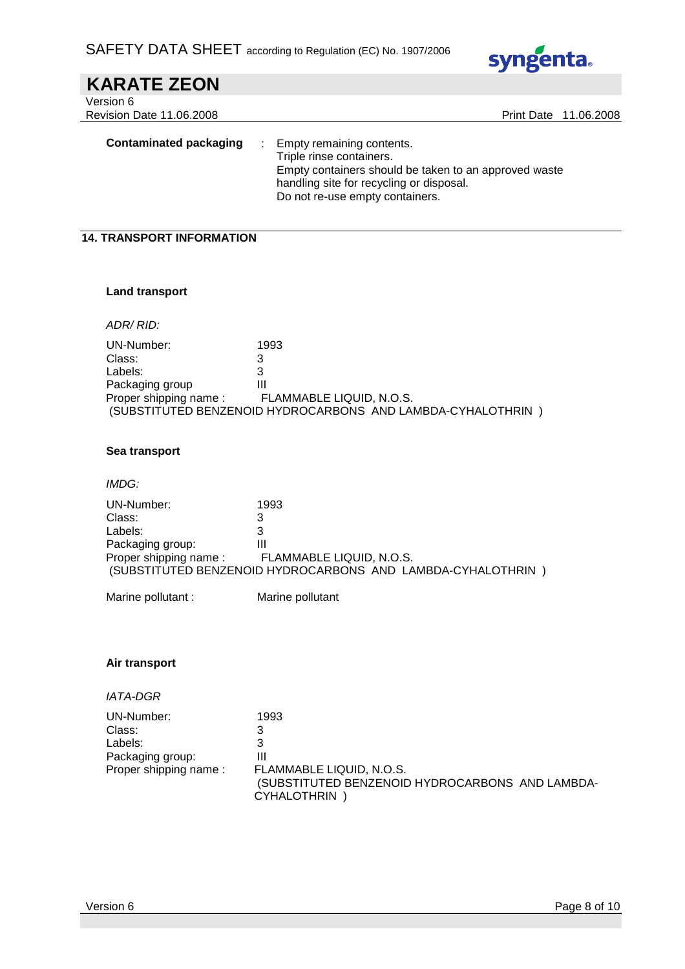

| Empty remaining contents.<br>Triple rinse containers.<br>Empty containers should be taken to an approved waste<br>handling site for recycling or disposal.<br>Do not re-use empty containers. |                                                                                                                                                                                                                                                                                                                 |
|-----------------------------------------------------------------------------------------------------------------------------------------------------------------------------------------------|-----------------------------------------------------------------------------------------------------------------------------------------------------------------------------------------------------------------------------------------------------------------------------------------------------------------|
|                                                                                                                                                                                               |                                                                                                                                                                                                                                                                                                                 |
|                                                                                                                                                                                               |                                                                                                                                                                                                                                                                                                                 |
|                                                                                                                                                                                               |                                                                                                                                                                                                                                                                                                                 |
|                                                                                                                                                                                               |                                                                                                                                                                                                                                                                                                                 |
| 1993<br>3<br>3<br>Ш<br>FLAMMABLE LIQUID, N.O.S.                                                                                                                                               |                                                                                                                                                                                                                                                                                                                 |
|                                                                                                                                                                                               |                                                                                                                                                                                                                                                                                                                 |
|                                                                                                                                                                                               |                                                                                                                                                                                                                                                                                                                 |
| 1993<br>3<br>3<br>$\mathbf{III}$<br>FLAMMABLE LIQUID, N.O.S.                                                                                                                                  |                                                                                                                                                                                                                                                                                                                 |
| Marine pollutant                                                                                                                                                                              |                                                                                                                                                                                                                                                                                                                 |
| 1993<br>3<br>3<br>$\mathbf{III}$                                                                                                                                                              |                                                                                                                                                                                                                                                                                                                 |
|                                                                                                                                                                                               | Print Date 11.06.2008<br><b>14. TRANSPORT INFORMATION</b><br>Proper shipping name:<br>(SUBSTITUTED BENZENOID HYDROCARBONS AND LAMBDA-CYHALOTHRIN)<br>(SUBSTITUTED BENZENOID HYDROCARBONS AND LAMBDA-CYHALOTHRIN)<br>FLAMMABLE LIQUID, N.O.S.<br>(SUBSTITUTED BENZENOID HYDROCARBONS AND LAMBDA-<br>CYHALOTHRIN) |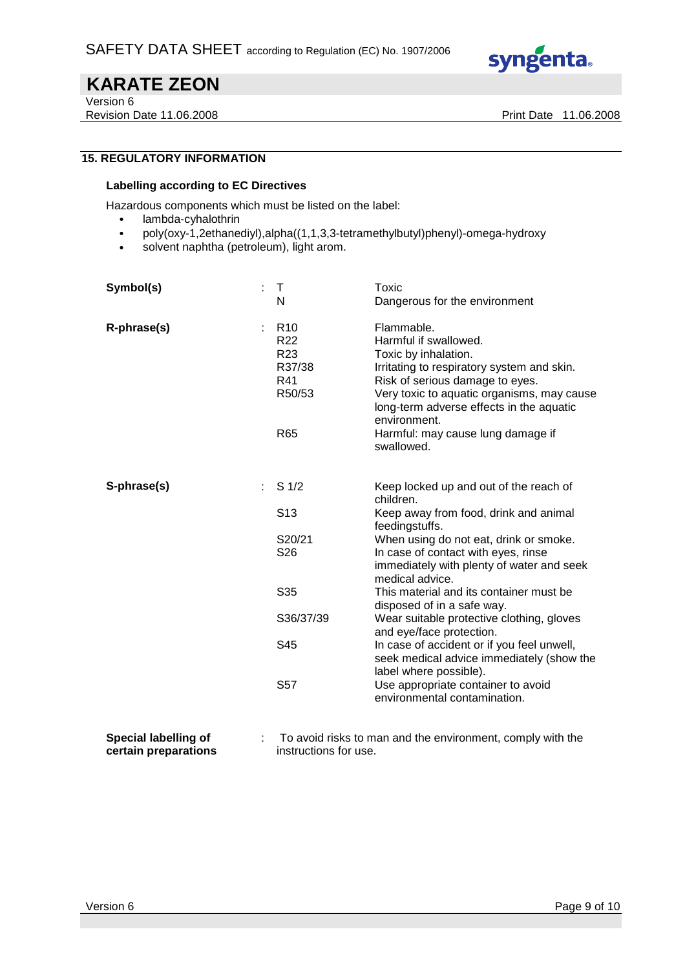

Version 6

Revision Date 11.06.2008 **Print Date 11.06.2008** 

# **15. REGULATORY INFORMATION**

#### **Labelling according to EC Directives**

Hazardous components which must be listed on the label:

- lambda-cyhalothrin
- poly(oxy-1,2ethanediyl),alpha((1,1,3,3-tetramethylbutyl)phenyl)-omega-hydroxy
- solvent naphtha (petroleum), light arom.

| Symbol(s)<br>t.      | $\top$<br>N                                                                      | Toxic<br>Dangerous for the environment                                                                                                                                                                                                                 |
|----------------------|----------------------------------------------------------------------------------|--------------------------------------------------------------------------------------------------------------------------------------------------------------------------------------------------------------------------------------------------------|
| R-phrase(s)          | R <sub>10</sub><br>R <sub>22</sub><br>R <sub>23</sub><br>R37/38<br>R41<br>R50/53 | Flammable.<br>Harmful if swallowed.<br>Toxic by inhalation.<br>Irritating to respiratory system and skin.<br>Risk of serious damage to eyes.<br>Very toxic to aquatic organisms, may cause<br>long-term adverse effects in the aquatic<br>environment. |
|                      | R65                                                                              | Harmful: may cause lung damage if<br>swallowed.                                                                                                                                                                                                        |
| S-phrase(s)          | S <sub>1/2</sub>                                                                 | Keep locked up and out of the reach of<br>children.                                                                                                                                                                                                    |
|                      | S <sub>13</sub>                                                                  | Keep away from food, drink and animal<br>feedingstuffs.                                                                                                                                                                                                |
|                      | S20/21                                                                           | When using do not eat, drink or smoke.                                                                                                                                                                                                                 |
|                      | S <sub>26</sub>                                                                  | In case of contact with eyes, rinse<br>immediately with plenty of water and seek<br>medical advice.                                                                                                                                                    |
|                      | S35                                                                              | This material and its container must be<br>disposed of in a safe way.                                                                                                                                                                                  |
|                      | S36/37/39                                                                        | Wear suitable protective clothing, gloves<br>and eye/face protection.                                                                                                                                                                                  |
|                      | S45                                                                              | In case of accident or if you feel unwell,<br>seek medical advice immediately (show the<br>label where possible).                                                                                                                                      |
|                      | S <sub>57</sub>                                                                  | Use appropriate container to avoid<br>environmental contamination.                                                                                                                                                                                     |
| Snocial Ishalling of |                                                                                  | To avoid ricks to man and the environment comply with the                                                                                                                                                                                              |

**Special labelling of certain preparations**  : To avoid risks to man and the environment, comply with the instructions for use.